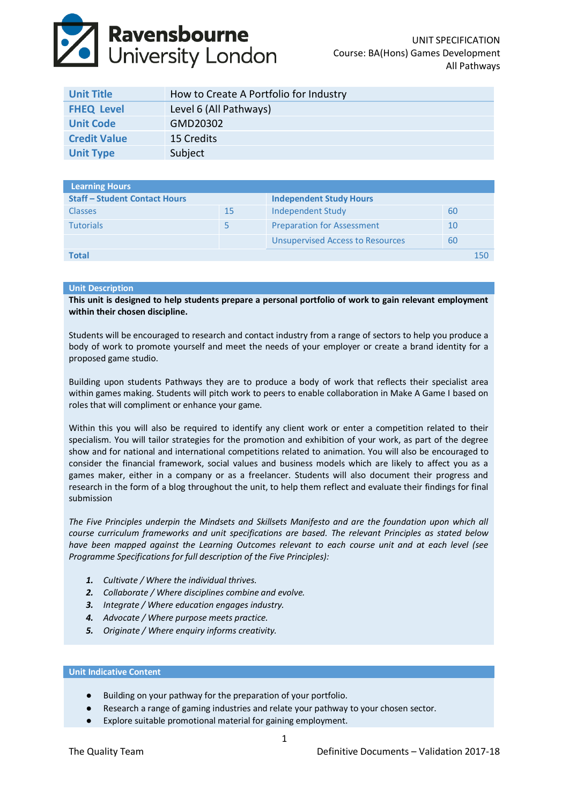# **Ravensbourne**<br>University London

| <b>Unit Title</b>   | How to Create A Portfolio for Industry |
|---------------------|----------------------------------------|
| <b>FHEQ Level</b>   | Level 6 (All Pathways)                 |
| <b>Unit Code</b>    | GMD20302                               |
| <b>Credit Value</b> | 15 Credits                             |
| <b>Unit Type</b>    | Subject                                |

| <b>Learning Hours</b>                |    |                                         |    |     |
|--------------------------------------|----|-----------------------------------------|----|-----|
| <b>Staff - Student Contact Hours</b> |    | <b>Independent Study Hours</b>          |    |     |
| <b>Classes</b>                       | 15 | Independent Study                       | 60 |     |
| <b>Tutorials</b>                     |    | <b>Preparation for Assessment</b>       | 10 |     |
|                                      |    | <b>Unsupervised Access to Resources</b> | 60 |     |
| Total                                |    |                                         |    | 150 |

# **Unit Description**

**This unit is designed to help students prepare a personal portfolio of work to gain relevant employment within their chosen discipline.** 

Students will be encouraged to research and contact industry from a range of sectors to help you produce a body of work to promote yourself and meet the needs of your employer or create a brand identity for a proposed game studio.

Building upon students Pathways they are to produce a body of work that reflects their specialist area within games making. Students will pitch work to peers to enable collaboration in Make A Game I based on roles that will compliment or enhance your game.

Within this you will also be required to identify any client work or enter a competition related to their specialism. You will tailor strategies for the promotion and exhibition of your work, as part of the degree show and for national and international competitions related to animation. You will also be encouraged to consider the financial framework, social values and business models which are likely to affect you as a games maker, either in a company or as a freelancer. Students will also document their progress and research in the form of a blog throughout the unit, to help them reflect and evaluate their findings for final submission

*The Five Principles underpin the Mindsets and Skillsets Manifesto and are the foundation upon which all course curriculum frameworks and unit specifications are based. The relevant Principles as stated below have been mapped against the Learning Outcomes relevant to each course unit and at each level (see Programme Specifications for full description of the Five Principles):*

- *1. Cultivate / Where the individual thrives.*
- *2. Collaborate / Where disciplines combine and evolve.*
- *3. Integrate / Where education engages industry.*
- *4. Advocate / Where purpose meets practice.*
- *5. Originate / Where enquiry informs creativity.*

## **Unit Indicative Content**

- Building on your pathway for the preparation of your portfolio.
- Research a range of gaming industries and relate your pathway to your chosen sector.
- Explore suitable promotional material for gaining employment.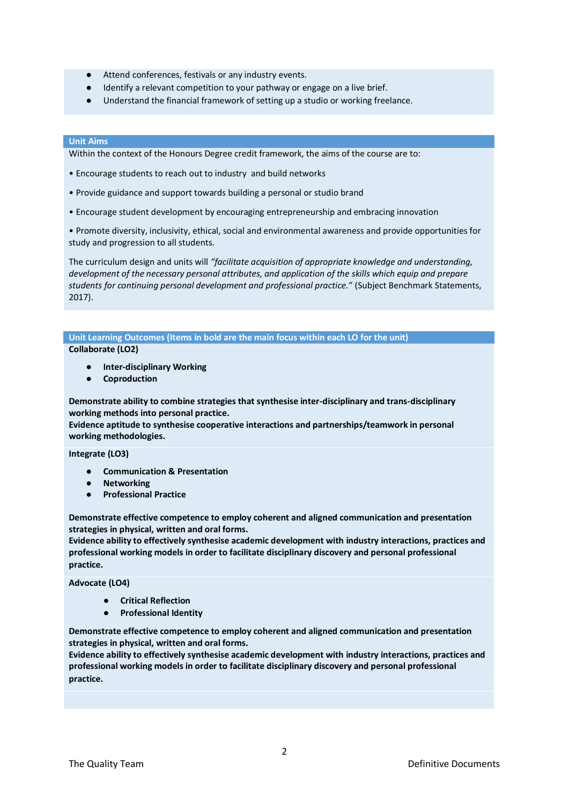- Attend conferences, festivals or any industry events.
- Identify a relevant competition to your pathway or engage on a live brief.
- Understand the financial framework of setting up a studio or working freelance.

## **Unit Aims**

Within the context of the Honours Degree credit framework, the aims of the course are to:

- Encourage students to reach out to industry and build networks
- Provide guidance and support towards building a personal or studio brand
- Encourage student development by encouraging entrepreneurship and embracing innovation

• Promote diversity, inclusivity, ethical, social and environmental awareness and provide opportunities for study and progression to all students.

The curriculum design and units will *"facilitate acquisition of appropriate knowledge and understanding, development of the necessary personal attributes, and application of the skills which equip and prepare students for continuing personal development and professional practice."* (Subject Benchmark Statements, 2017).

**Unit Learning Outcomes (Items in bold are the main focus within each LO for the unit) Collaborate (LO2)**

- **Inter-disciplinary Working**
- **Coproduction**

**Demonstrate ability to combine strategies that synthesise inter-disciplinary and trans-disciplinary working methods into personal practice.**

**Evidence aptitude to synthesise cooperative interactions and partnerships/teamwork in personal working methodologies.**

#### **Integrate (LO3)**

- **Communication & Presentation**
- **Networking**
- **Professional Practice**

**Demonstrate effective competence to employ coherent and aligned communication and presentation strategies in physical, written and oral forms.** 

**Evidence ability to effectively synthesise academic development with industry interactions, practices and professional working models in order to facilitate disciplinary discovery and personal professional practice.**

**Advocate (LO4)**

- **Critical Reflection**
- **Professional Identity**

**Demonstrate effective competence to employ coherent and aligned communication and presentation strategies in physical, written and oral forms.** 

**Evidence ability to effectively synthesise academic development with industry interactions, practices and professional working models in order to facilitate disciplinary discovery and personal professional practice.**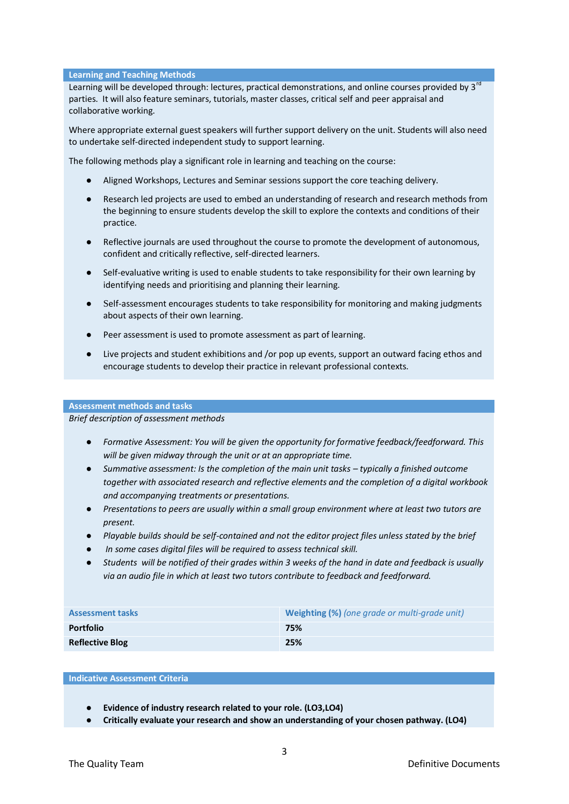## **Learning and Teaching Methods**

Learning will be developed through: lectures, practical demonstrations, and online courses provided by 3<sup>rd</sup> parties. It will also feature seminars, tutorials, master classes, critical self and peer appraisal and collaborative working.

Where appropriate external guest speakers will further support delivery on the unit. Students will also need to undertake self‐directed independent study to support learning.

The following methods play a significant role in learning and teaching on the course:

- Aligned Workshops, Lectures and Seminar sessions support the core teaching delivery.
- Research led projects are used to embed an understanding of research and research methods from the beginning to ensure students develop the skill to explore the contexts and conditions of their practice.
- Reflective journals are used throughout the course to promote the development of autonomous, confident and critically reflective, self‐directed learners.
- Self-evaluative writing is used to enable students to take responsibility for their own learning by identifying needs and prioritising and planning their learning.
- Self-assessment encourages students to take responsibility for monitoring and making judgments about aspects of their own learning.
- Peer assessment is used to promote assessment as part of learning.
- Live projects and student exhibitions and /or pop up events, support an outward facing ethos and encourage students to develop their practice in relevant professional contexts.

## **Assessment methods and tasks**

*Brief description of assessment methods*

- *Formative Assessment: You will be given the opportunity for formative feedback/feedforward. This will be given midway through the unit or at an appropriate time.*
- *Summative assessment: Is the completion of the main unit tasks – typically a finished outcome together with associated research and reflective elements and the completion of a digital workbook and accompanying treatments or presentations.*
- *Presentations to peers are usually within a small group environment where at least two tutors are present.*
- *Playable builds should be self-contained and not the editor project files unless stated by the brief*
- In some cases digital files will be required to assess technical skill.
- *Students will be notified of their grades within 3 weeks of the hand in date and feedback is usually via an audio file in which at least two tutors contribute to feedback and feedforward.*

| <b>Assessment tasks</b> | <b>Weighting (%)</b> (one grade or multi-grade unit) |
|-------------------------|------------------------------------------------------|
| <b>Portfolio</b>        | 75%                                                  |
| <b>Reflective Blog</b>  | 25%                                                  |

#### **Indicative Assessment Criteria**

- **Evidence of industry research related to your role. (LO3,LO4)**
- **Critically evaluate your research and show an understanding of your chosen pathway. (LO4)**